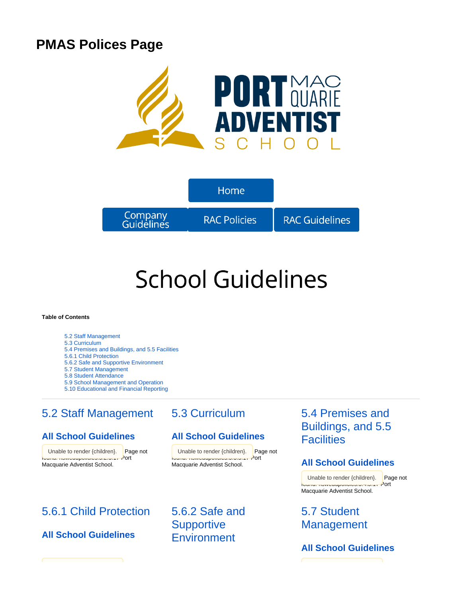# **PMAS Polices Page**





# **School Guidelines**

#### **Table of Contents**

- [5.2 Staff Management](#page-0-0)
- [5.3 Curriculum](#page-0-0)
- [5.4 Premises and Buildings, and 5.5 Facilities](#page-0-0)
- [5.6.1 Child Protection](#page-0-1)
- [5.6.2 Safe and Supportive Environment](#page-0-1)
- [5.7 Student Management](#page-0-1)
- [5.8 Student Attendance](#page-1-0)
- [5.9 School Management and Operation](#page-1-0) [5.10 Educational and Financial Reporting](#page-1-0)
- 

# <span id="page-0-0"></span>[5.2 Staff Management](https://confluence.adventist.edu.au/pages/viewpage.action?pageId=2752595)

### **[All School Guidelines](https://confluence.adventist.edu.au/display/nsweduintranet/RAC+-+Guideline+Comparison+5.2+Staff+Management)**

Unable to render {children}. Page not found: nswedupolicies:5.2.5.17 Port Macquarie Adventist School.

## [5.3 Curriculum](https://confluence.adventist.edu.au/pages/viewpage.action?pageId=2752588)

### **[All School Guidelines](https://confluence.adventist.edu.au/display/nsweduintranet/RAC+-+Guideline+Comparison+5.3+Curriculum)**

{children}. Page not I unable to render {children}. Page not found: nswedupolicies:5.3.5.17 Port

# <span id="page-0-1"></span>[5.6.1 Child Protection](https://confluence.adventist.edu.au/pages/viewpage.action?pageId=2753588)

**[All School Guidelines](https://confluence.adventist.edu.au/display/nsweduintranet/RAC+-+Guideline+Comparison+5.6.1+Child+Protection)**

Macquarie Adventist School.

[5.6.2 Safe and](https://confluence.adventist.edu.au/pages/viewpage.action?pageId=2753594)  **Supportive [Environment](https://confluence.adventist.edu.au/pages/viewpage.action?pageId=2753594)** 

# [5.4 Premises and](https://confluence.adventist.edu.au/pages/viewpage.action?pageId=2752733)  [Buildings, and 5.5](https://confluence.adventist.edu.au/pages/viewpage.action?pageId=2752733)  **[Facilities](https://confluence.adventist.edu.au/pages/viewpage.action?pageId=2752733)**

#### **[All School Guidelines](https://confluence.adventist.edu.au/display/nsweduintranet/RAC+-+Guideline+Comparison+5.3+Curriculum)**

Unable to render {children}. Page not found: nswedupolicies:5.4.5.17 Port Macquarie Adventist School.

# [5.7 Student](https://confluence.adventist.edu.au/pages/viewpage.action?pageId=2752786)  **[Management](https://confluence.adventist.edu.au/pages/viewpage.action?pageId=2752786)**

**[All School Guidelines](https://confluence.adventist.edu.au/display/nsweduintranet/RAC+-+Guideline+Comparison+5.7+Student+Management)**